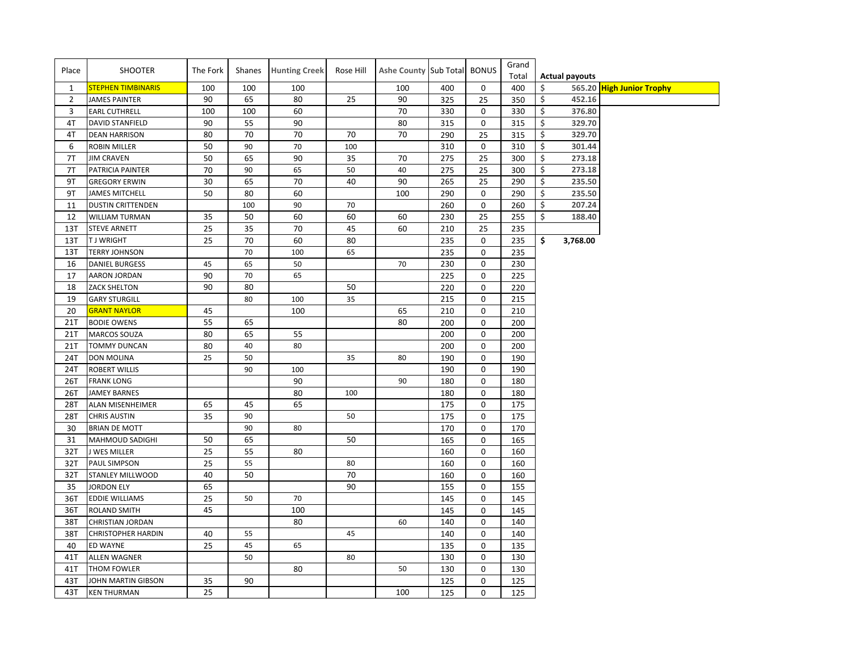| Place          | SHOOTER                   | The Fork | Shanes | <b>Hunting Creek</b> | Rose Hill | Ashe County Sub Total BONUS |     |             | Grand |    |                       |                           |
|----------------|---------------------------|----------|--------|----------------------|-----------|-----------------------------|-----|-------------|-------|----|-----------------------|---------------------------|
|                |                           |          |        |                      |           |                             |     |             | Total |    | <b>Actual payouts</b> |                           |
| $\mathbf{1}$   | <b>STEPHEN TIMBINARIS</b> | 100      | 100    | 100                  |           | 100                         | 400 | 0           | 400   | Ś. | 565.20                | <b>High Junior Trophy</b> |
| $\overline{2}$ | <b>JAMES PAINTER</b>      | 90       | 65     | 80                   | 25        | 90                          | 325 | 25          | 350   | \$ | 452.16                |                           |
| 3              | <b>EARL CUTHRELL</b>      | 100      | 100    | 60                   |           | 70                          | 330 | 0           | 330   | \$ | 376.80                |                           |
| 4T             | <b>DAVID STANFIELD</b>    | 90       | 55     | 90                   |           | 80                          | 315 | 0           | 315   | \$ | 329.70                |                           |
| 4T             | <b>DEAN HARRISON</b>      | 80       | 70     | 70                   | 70        | 70                          | 290 | 25          | 315   | \$ | 329.70                |                           |
| 6              | <b>ROBIN MILLER</b>       | 50       | 90     | 70                   | 100       |                             | 310 | 0           | 310   | \$ | 301.44                |                           |
| 7T             | <b>JIM CRAVEN</b>         | 50       | 65     | 90                   | 35        | 70                          | 275 | 25          | 300   | \$ | 273.18                |                           |
| 7T             | PATRICIA PAINTER          | 70       | 90     | 65                   | 50        | 40                          | 275 | 25          | 300   | \$ | 273.18                |                           |
| 9T             | <b>GREGORY ERWIN</b>      | 30       | 65     | 70                   | 40        | 90                          | 265 | 25          | 290   | \$ | 235.50                |                           |
| 9T             | <b>JAMES MITCHELL</b>     | 50       | 80     | 60                   |           | 100                         | 290 | $\mathbf 0$ | 290   | \$ | 235.50                |                           |
| 11             | <b>DUSTIN CRITTENDEN</b>  |          | 100    | 90                   | 70        |                             | 260 | $\pmb{0}$   | 260   | \$ | 207.24                |                           |
| 12             | <b>WILLIAM TURMAN</b>     | 35       | 50     | 60                   | 60        | 60                          | 230 | 25          | 255   | \$ | 188.40                |                           |
| 13T            | <b>STEVE ARNETT</b>       | 25       | 35     | 70                   | 45        | 60                          | 210 | 25          | 235   |    |                       |                           |
| 13T            | <b>TJ WRIGHT</b>          | 25       | 70     | 60                   | 80        |                             | 235 | $\mathbf 0$ | 235   | \$ | 3,768.00              |                           |
| 13T            | <b>TERRY JOHNSON</b>      |          | 70     | 100                  | 65        |                             | 235 | 0           | 235   |    |                       |                           |
| 16             | <b>DANIEL BURGESS</b>     | 45       | 65     | 50                   |           | 70                          | 230 | 0           | 230   |    |                       |                           |
| 17             | AARON JORDAN              | 90       | 70     | 65                   |           |                             | 225 | $\mathbf 0$ | 225   |    |                       |                           |
| 18             | <b>ZACK SHELTON</b>       | 90       | 80     |                      | 50        |                             | 220 | $\mathbf 0$ | 220   |    |                       |                           |
| 19             | <b>GARY STURGILL</b>      |          | 80     | 100                  | 35        |                             | 215 | $\mathbf 0$ | 215   |    |                       |                           |
| 20             | <b>GRANT NAYLOR</b>       | 45       |        | 100                  |           | 65                          | 210 | 0           | 210   |    |                       |                           |
| 21T            | <b>BODIE OWENS</b>        | 55       | 65     |                      |           | 80                          | 200 | 0           | 200   |    |                       |                           |
| 21T            | <b>MARCOS SOUZA</b>       | 80       | 65     | 55                   |           |                             | 200 | $\mathbf 0$ | 200   |    |                       |                           |
| 21T            | <b>TOMMY DUNCAN</b>       | 80       | 40     | 80                   |           |                             | 200 | $\mathbf 0$ | 200   |    |                       |                           |
| 24T            | <b>DON MOLINA</b>         | 25       | 50     |                      | 35        | 80                          | 190 | $\mathbf 0$ | 190   |    |                       |                           |
| 24T            | <b>ROBERT WILLIS</b>      |          | 90     | 100                  |           |                             | 190 | 0           | 190   |    |                       |                           |
| 26T            | <b>FRANK LONG</b>         |          |        | 90                   |           | 90                          | 180 | $\mathbf 0$ | 180   |    |                       |                           |
| 26T            | <b>JAMEY BARNES</b>       |          |        | 80                   | 100       |                             | 180 | 0           | 180   |    |                       |                           |
| 28T            | <b>ALAN MISENHEIMER</b>   | 65       | 45     | 65                   |           |                             | 175 | $\mathbf 0$ | 175   |    |                       |                           |
| 28T            | <b>CHRIS AUSTIN</b>       | 35       | 90     |                      | 50        |                             | 175 | $\mathbf 0$ | 175   |    |                       |                           |
| 30             | <b>BRIAN DE MOTT</b>      |          | 90     | 80                   |           |                             | 170 | 0           | 170   |    |                       |                           |
| 31             | MAHMOUD SADIGHI           | 50       | 65     |                      | 50        |                             | 165 | $\mathbf 0$ | 165   |    |                       |                           |
| 32T            | J WES MILLER              | 25       | 55     | 80                   |           |                             | 160 | $\mathbf 0$ | 160   |    |                       |                           |
| 32T            | <b>PAUL SIMPSON</b>       | 25       | 55     |                      | 80        |                             | 160 | 0           | 160   |    |                       |                           |
| 32T            | STANLEY MILLWOOD          | 40       | 50     |                      | 70        |                             | 160 | 0           | 160   |    |                       |                           |
| 35             | <b>JORDON ELY</b>         | 65       |        |                      | 90        |                             | 155 | 0           | 155   |    |                       |                           |
| 36T            | <b>EDDIE WILLIAMS</b>     | 25       | 50     | 70                   |           |                             | 145 | $\mathbf 0$ | 145   |    |                       |                           |
| 36T            | <b>ROLAND SMITH</b>       | 45       |        | 100                  |           |                             | 145 | $\mathbf 0$ | 145   |    |                       |                           |
| 38T            | <b>CHRISTIAN JORDAN</b>   |          |        | 80                   |           | 60                          | 140 | $\mathbf 0$ | 140   |    |                       |                           |
| 38T            | <b>CHRISTOPHER HARDIN</b> | 40       | 55     |                      | 45        |                             | 140 | 0           | 140   |    |                       |                           |
| 40             | ED WAYNE                  | 25       | 45     | 65                   |           |                             | 135 | 0           | 135   |    |                       |                           |
| 41T            | <b>ALLEN WAGNER</b>       |          | 50     |                      | 80        |                             | 130 | 0           | 130   |    |                       |                           |
| 41T            | THOM FOWLER               |          |        | 80                   |           | 50                          | 130 | 0           | 130   |    |                       |                           |
| 43T            | JOHN MARTIN GIBSON        | 35       | 90     |                      |           |                             | 125 | 0           | 125   |    |                       |                           |
| 43T            | <b>KEN THURMAN</b>        | 25       |        |                      |           | 100                         | 125 | 0           | 125   |    |                       |                           |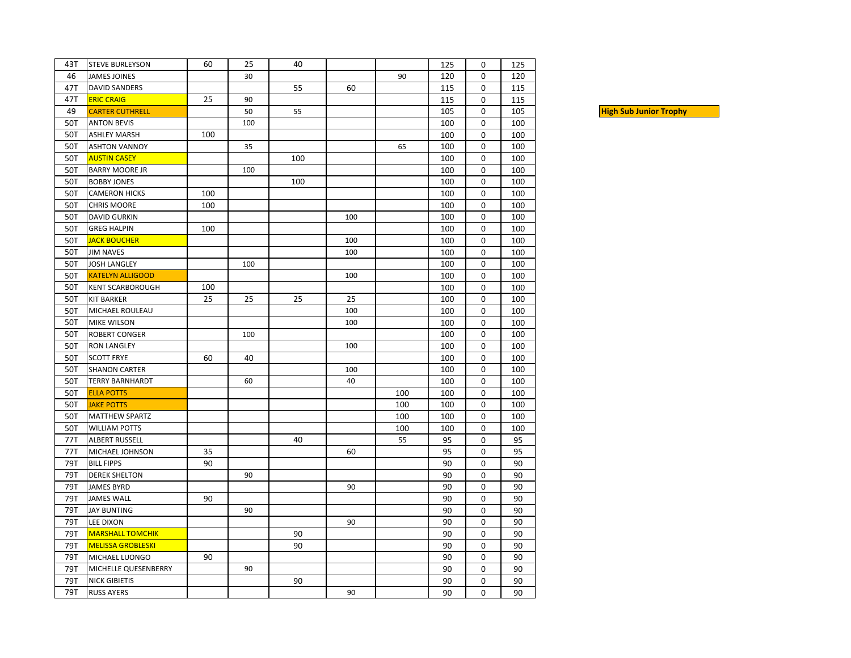| 43T | <b>STEVE BURLEYSON</b>   | 60  | 25  | 40  |     |     | 125 | 0 | 125 |
|-----|--------------------------|-----|-----|-----|-----|-----|-----|---|-----|
| 46  | <b>JAMES JOINES</b>      |     | 30  |     |     | 90  | 120 | 0 | 120 |
| 47T | <b>DAVID SANDERS</b>     |     |     | 55  | 60  |     | 115 | 0 | 115 |
| 47T | <b>ERIC CRAIG</b>        | 25  | 90  |     |     |     | 115 | 0 | 115 |
| 49  | <b>CARTER CUTHRELL</b>   |     | 50  | 55  |     |     | 105 | 0 | 105 |
| 50T | <b>ANTON BEVIS</b>       |     | 100 |     |     |     | 100 | 0 | 100 |
| 50T | <b>ASHLEY MARSH</b>      | 100 |     |     |     |     | 100 | 0 | 100 |
| 50T | <b>ASHTON VANNOY</b>     |     | 35  |     |     | 65  | 100 | 0 | 100 |
| 50T | <b>AUSTIN CASEY</b>      |     |     | 100 |     |     | 100 | 0 | 100 |
| 50T | <b>BARRY MOORE JR</b>    |     | 100 |     |     |     | 100 | 0 | 100 |
| 50T | <b>BOBBY JONES</b>       |     |     | 100 |     |     | 100 | 0 | 100 |
| 50T | <b>CAMERON HICKS</b>     | 100 |     |     |     |     | 100 | 0 | 100 |
| 50T | <b>CHRIS MOORE</b>       | 100 |     |     |     |     | 100 | 0 | 100 |
| 50T | <b>DAVID GURKIN</b>      |     |     |     | 100 |     | 100 | 0 | 100 |
| 50T | <b>GREG HALPIN</b>       | 100 |     |     |     |     | 100 | 0 | 100 |
| 50T | <b>JACK BOUCHER</b>      |     |     |     | 100 |     | 100 | 0 | 100 |
| 50T | <b>JIM NAVES</b>         |     |     |     | 100 |     | 100 | 0 | 100 |
| 50T | <b>JOSH LANGLEY</b>      |     | 100 |     |     |     | 100 | 0 | 100 |
| 50T | <b>KATELYN ALLIGOOD</b>  |     |     |     | 100 |     | 100 | 0 | 100 |
| 50T | <b>KENT SCARBOROUGH</b>  | 100 |     |     |     |     | 100 | 0 | 100 |
| 50T | <b>KIT BARKER</b>        | 25  | 25  | 25  | 25  |     | 100 | 0 | 100 |
| 50T | MICHAEL ROULEAU          |     |     |     | 100 |     | 100 | 0 | 100 |
| 50T | <b>MIKE WILSON</b>       |     |     |     | 100 |     | 100 | 0 | 100 |
| 50T | <b>ROBERT CONGER</b>     |     | 100 |     |     |     | 100 | 0 | 100 |
| 50T | <b>RON LANGLEY</b>       |     |     |     | 100 |     | 100 | 0 | 100 |
| 50T | <b>SCOTT FRYE</b>        | 60  | 40  |     |     |     | 100 | 0 | 100 |
| 50T | <b>SHANON CARTER</b>     |     |     |     | 100 |     | 100 | 0 | 100 |
| 50T | <b>TERRY BARNHARDT</b>   |     | 60  |     | 40  |     | 100 | 0 | 100 |
| 50T | <b>ELLA POTTS</b>        |     |     |     |     | 100 | 100 | 0 | 100 |
| 50T | <b>JAKE POTTS</b>        |     |     |     |     | 100 | 100 | 0 | 100 |
| 50T | <b>MATTHEW SPARTZ</b>    |     |     |     |     | 100 | 100 | 0 | 100 |
| 50T | <b>WILLIAM POTTS</b>     |     |     |     |     | 100 | 100 | 0 | 100 |
| 77T | ALBERT RUSSELL           |     |     | 40  |     | 55  | 95  | 0 | 95  |
| 77T | MICHAEL JOHNSON          | 35  |     |     | 60  |     | 95  | 0 | 95  |
| 79T | <b>BILL FIPPS</b>        | 90  |     |     |     |     | 90  | 0 | 90  |
| 79T | <b>DEREK SHELTON</b>     |     | 90  |     |     |     | 90  | 0 | 90  |
| 79T | <b>JAMES BYRD</b>        |     |     |     | 90  |     | 90  | 0 | 90  |
| 79T | <b>JAMES WALL</b>        | 90  |     |     |     |     | 90  | 0 | 90  |
| 79T | <b>JAY BUNTING</b>       |     | 90  |     |     |     | 90  | 0 | 90  |
| 79T | <b>LEE DIXON</b>         |     |     |     | 90  |     | 90  | 0 | 90  |
| 79T | <b>MARSHALL TOMCHIK</b>  |     |     | 90  |     |     | 90  | 0 | 90  |
| 79T | <b>MELISSA GROBLESKI</b> |     |     | 90  |     |     | 90  | 0 | 90  |
| 79T | MICHAEL LUONGO           | 90  |     |     |     |     | 90  | 0 | 90  |
| 79T | MICHELLE QUESENBERRY     |     | 90  |     |     |     | 90  | 0 | 90  |
| 79T | <b>NICK GIBIETIS</b>     |     |     | 90  |     |     | 90  | 0 | 90  |
| 79T | <b>RUSS AYERS</b>        |     |     |     | 90  |     | 90  | 0 | 90  |

**High Sub Junior Trophy**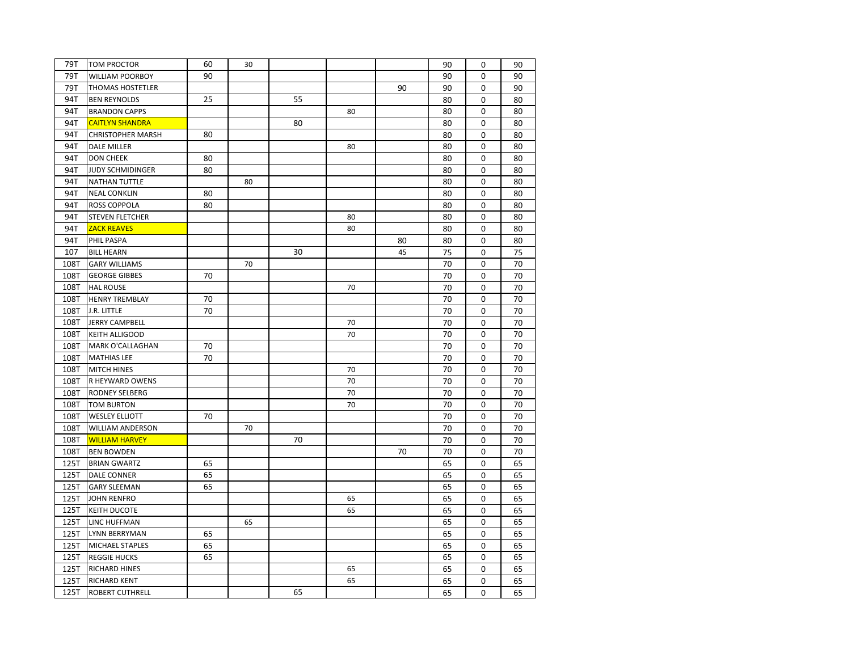| 79T  | <b>TOM PROCTOR</b>       | 60 | 30 |    |    |    | 90 | 0 | 90 |
|------|--------------------------|----|----|----|----|----|----|---|----|
| 79T  | <b>WILLIAM POORBOY</b>   | 90 |    |    |    |    | 90 | 0 | 90 |
| 79T  | THOMAS HOSTETLER         |    |    |    |    | 90 | 90 | 0 | 90 |
| 94T  | <b>BEN REYNOLDS</b>      | 25 |    | 55 |    |    | 80 | 0 | 80 |
| 94T  | <b>BRANDON CAPPS</b>     |    |    |    | 80 |    | 80 | 0 | 80 |
| 94T  | <b>CAITLYN SHANDRA</b>   |    |    | 80 |    |    | 80 | 0 | 80 |
| 94T  | <b>CHRISTOPHER MARSH</b> | 80 |    |    |    |    | 80 | 0 | 80 |
| 94T  | <b>DALE MILLER</b>       |    |    |    | 80 |    | 80 | 0 | 80 |
| 94T  | <b>DON CHEEK</b>         | 80 |    |    |    |    | 80 | 0 | 80 |
| 94T  | JUDY SCHMIDINGER         | 80 |    |    |    |    | 80 | 0 | 80 |
| 94T  | <b>NATHAN TUTTLE</b>     |    | 80 |    |    |    | 80 | 0 | 80 |
| 94T  | <b>NEAL CONKLIN</b>      | 80 |    |    |    |    | 80 | 0 | 80 |
| 94T  | ROSS COPPOLA             | 80 |    |    |    |    | 80 | 0 | 80 |
| 94T  | <b>STEVEN FLETCHER</b>   |    |    |    | 80 |    | 80 | 0 | 80 |
| 94T  | <b>ZACK REAVES</b>       |    |    |    | 80 |    | 80 | 0 | 80 |
| 94T  | PHIL PASPA               |    |    |    |    | 80 | 80 | 0 | 80 |
| 107  | <b>BILL HEARN</b>        |    |    | 30 |    | 45 | 75 | 0 | 75 |
| 108T | <b>GARY WILLIAMS</b>     |    | 70 |    |    |    | 70 | 0 | 70 |
| 108T | <b>GEORGE GIBBES</b>     | 70 |    |    |    |    | 70 | 0 | 70 |
| 108T | <b>HAL ROUSE</b>         |    |    |    | 70 |    | 70 | 0 | 70 |
| 108T | <b>HENRY TREMBLAY</b>    | 70 |    |    |    |    | 70 | 0 | 70 |
| 108T | J.R. LITTLE              | 70 |    |    |    |    | 70 | 0 | 70 |
| 108T | <b>JERRY CAMPBELL</b>    |    |    |    | 70 |    | 70 | 0 | 70 |
| 108T | <b>KEITH ALLIGOOD</b>    |    |    |    | 70 |    | 70 | 0 | 70 |
| 108T | MARK O'CALLAGHAN         | 70 |    |    |    |    | 70 | 0 | 70 |
| 108T | <b>MATHIAS LEE</b>       | 70 |    |    |    |    | 70 | 0 | 70 |
| 108T | <b>MITCH HINES</b>       |    |    |    | 70 |    | 70 | 0 | 70 |
| 108T | R HEYWARD OWENS          |    |    |    | 70 |    | 70 | 0 | 70 |
| 108T | RODNEY SELBERG           |    |    |    | 70 |    | 70 | 0 | 70 |
| 108T | <b>TOM BURTON</b>        |    |    |    | 70 |    | 70 | 0 | 70 |
| 108T | <b>WESLEY ELLIOTT</b>    | 70 |    |    |    |    | 70 | 0 | 70 |
| 108T | <b>WILLIAM ANDERSON</b>  |    | 70 |    |    |    | 70 | 0 | 70 |
| 108T | <b>WILLIAM HARVEY</b>    |    |    | 70 |    |    | 70 | 0 | 70 |
| 108T | <b>BEN BOWDEN</b>        |    |    |    |    | 70 | 70 | 0 | 70 |
| 125T | <b>BRIAN GWARTZ</b>      | 65 |    |    |    |    | 65 | 0 | 65 |
| 125T | <b>DALE CONNER</b>       | 65 |    |    |    |    | 65 | 0 | 65 |
| 125T | <b>GARY SLEEMAN</b>      | 65 |    |    |    |    | 65 | 0 | 65 |
| 125T | <b>JOHN RENFRO</b>       |    |    |    | 65 |    | 65 | 0 | 65 |
| 125T | <b>KEITH DUCOTE</b>      |    |    |    | 65 |    | 65 | 0 | 65 |
| 125T | <b>LINC HUFFMAN</b>      |    | 65 |    |    |    | 65 | 0 | 65 |
| 125T | LYNN BERRYMAN            | 65 |    |    |    |    | 65 | 0 | 65 |
| 125T | MICHAEL STAPLES          | 65 |    |    |    |    | 65 | 0 | 65 |
| 125T | <b>REGGIE HUCKS</b>      | 65 |    |    |    |    | 65 | 0 | 65 |
| 125T | RICHARD HINES            |    |    |    | 65 |    | 65 | 0 | 65 |
| 125T | <b>RICHARD KENT</b>      |    |    |    | 65 |    | 65 | 0 | 65 |
| 125T | <b>ROBERT CUTHRELL</b>   |    |    | 65 |    |    | 65 | 0 | 65 |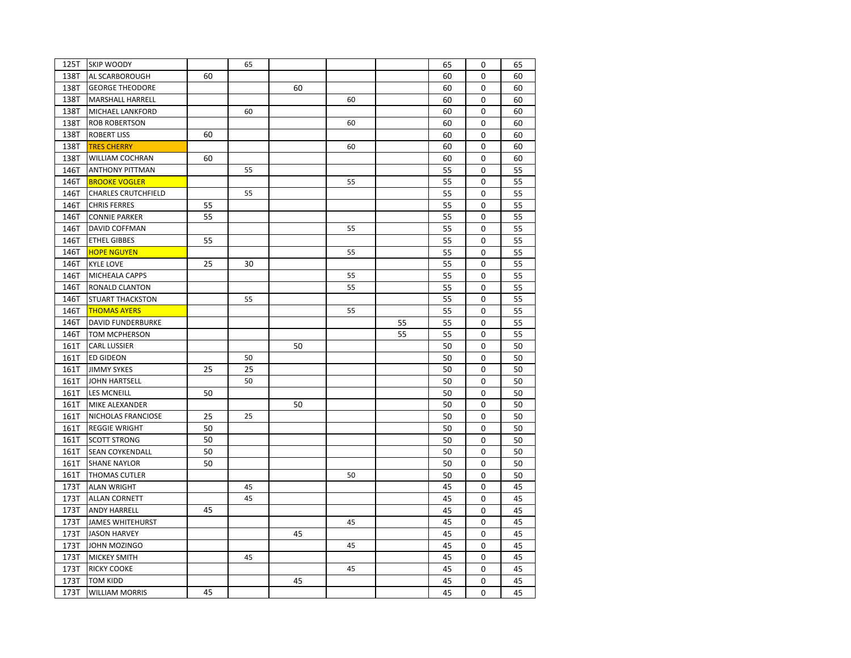| 125T | <b>SKIP WOODY</b>          |    | 65 |    |    |    | 65 | 0        | 65 |
|------|----------------------------|----|----|----|----|----|----|----------|----|
| 138T | AL SCARBOROUGH             | 60 |    |    |    |    | 60 | 0        | 60 |
| 138T | <b>GEORGE THEODORE</b>     |    |    | 60 |    |    | 60 | 0        | 60 |
| 138T | MARSHALL HARRELL           |    |    |    | 60 |    | 60 | 0        | 60 |
| 138T | MICHAEL LANKFORD           |    | 60 |    |    |    | 60 | 0        | 60 |
| 138T | <b>ROB ROBERTSON</b>       |    |    |    | 60 |    | 60 | 0        | 60 |
| 138T | <b>ROBERT LISS</b>         | 60 |    |    |    |    | 60 | 0        | 60 |
| 138T | <b>TRES CHERRY</b>         |    |    |    | 60 |    | 60 | 0        | 60 |
| 138T | WILLIAM COCHRAN            | 60 |    |    |    |    | 60 | 0        | 60 |
| 146T | <b>ANTHONY PITTMAN</b>     |    | 55 |    |    |    | 55 | 0        | 55 |
| 146T | <b>BROOKE VOGLER</b>       |    |    |    | 55 |    | 55 | 0        | 55 |
| 146T | <b>CHARLES CRUTCHFIELD</b> |    | 55 |    |    |    | 55 | 0        | 55 |
| 146T | <b>CHRIS FERRES</b>        | 55 |    |    |    |    | 55 | 0        | 55 |
| 146T | <b>CONNIE PARKER</b>       | 55 |    |    |    |    | 55 | 0        | 55 |
| 146T | DAVID COFFMAN              |    |    |    | 55 |    | 55 | 0        | 55 |
| 146T | <b>ETHEL GIBBES</b>        | 55 |    |    |    |    | 55 | 0        | 55 |
| 146T | <b>HOPE NGUYEN</b>         |    |    |    | 55 |    | 55 | 0        | 55 |
| 146T | <b>KYLE LOVE</b>           | 25 | 30 |    |    |    | 55 | 0        | 55 |
| 146T | MICHEALA CAPPS             |    |    |    | 55 |    | 55 | 0        | 55 |
| 146T | RONALD CLANTON             |    |    |    | 55 |    | 55 | $\Omega$ | 55 |
| 146T | <b>STUART THACKSTON</b>    |    | 55 |    |    |    | 55 | 0        | 55 |
| 146T | <b>THOMAS AYERS</b>        |    |    |    | 55 |    | 55 | 0        | 55 |
| 146T | <b>DAVID FUNDERBURKE</b>   |    |    |    |    | 55 | 55 | 0        | 55 |
| 146T | <b>TOM MCPHERSON</b>       |    |    |    |    | 55 | 55 | 0        | 55 |
| 161T | <b>CARL LUSSIER</b>        |    |    | 50 |    |    | 50 | 0        | 50 |
| 161T | <b>ED GIDEON</b>           |    | 50 |    |    |    | 50 | 0        | 50 |
| 161T | <b>JIMMY SYKES</b>         | 25 | 25 |    |    |    | 50 | 0        | 50 |
| 161T | JOHN HARTSELL              |    | 50 |    |    |    | 50 | 0        | 50 |
| 161T | <b>LES MCNEILL</b>         | 50 |    |    |    |    | 50 | 0        | 50 |
| 161T | MIKE ALEXANDER             |    |    | 50 |    |    | 50 | 0        | 50 |
| 161T | NICHOLAS FRANCIOSE         | 25 | 25 |    |    |    | 50 | $\Omega$ | 50 |
| 161T | <b>REGGIE WRIGHT</b>       | 50 |    |    |    |    | 50 | 0        | 50 |
| 161T | <b>SCOTT STRONG</b>        | 50 |    |    |    |    | 50 | 0        | 50 |
| 161T | SEAN COYKENDALL            | 50 |    |    |    |    | 50 | 0        | 50 |
| 161T | <b>SHANE NAYLOR</b>        | 50 |    |    |    |    | 50 | 0        | 50 |
| 161T | <b>THOMAS CUTLER</b>       |    |    |    | 50 |    | 50 | 0        | 50 |
| 173T | <b>ALAN WRIGHT</b>         |    | 45 |    |    |    | 45 | 0        | 45 |
| 173T | <b>ALLAN CORNETT</b>       |    | 45 |    |    |    | 45 | 0        | 45 |
| 173T | <b>ANDY HARRELL</b>        | 45 |    |    |    |    | 45 | 0        | 45 |
| 173T | <b>JAMES WHITEHURST</b>    |    |    |    | 45 |    | 45 | 0        | 45 |
| 173T | <b>JASON HARVEY</b>        |    |    | 45 |    |    | 45 | 0        | 45 |
| 173T | JOHN MOZINGO               |    |    |    | 45 |    | 45 | 0        | 45 |
| 173T | <b>MICKEY SMITH</b>        |    | 45 |    |    |    | 45 | 0        | 45 |
| 173T | <b>RICKY COOKE</b>         |    |    |    | 45 |    | 45 | 0        | 45 |
| 173T | <b>TOM KIDD</b>            |    |    | 45 |    |    | 45 | 0        | 45 |
| 173T | <b>WILLIAM MORRIS</b>      | 45 |    |    |    |    | 45 | 0        | 45 |